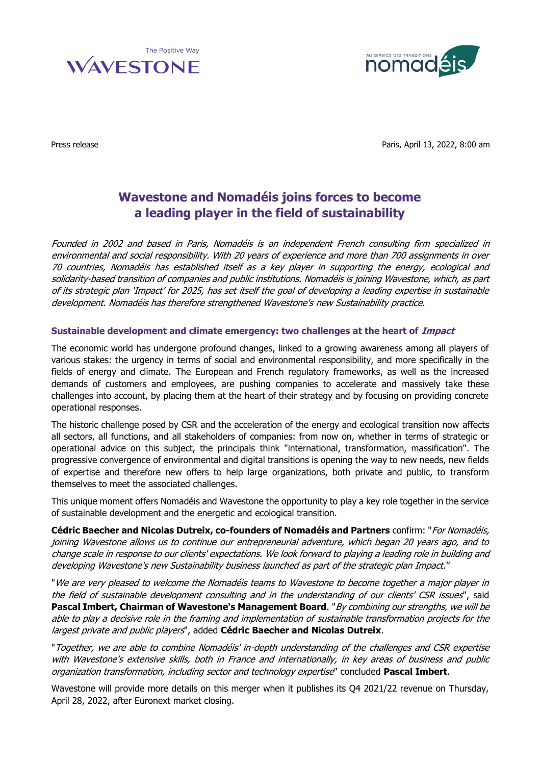



Press release **Paris, April 13, 2022, 8:00 am** 

## **Wavestone and Nomadéis joins forces to become a leading player in the field of sustainability**

Founded in 2002 and based in Paris, Nomadéis is an independent French consulting firm specialized in environmental and social responsibility. With 20 years of experience and more than 700 assignments in over 70 countries, Nomadéis has established itself as a key player in supporting the energy, ecological and solidarity-based transition of companies and public institutions. Nomadéis is joining Wavestone, which, as part of its strategic plan 'Impact' for 2025, has set itself the goal of developing a leading expertise in sustainable development. Nomadéis has therefore strengthened Wavestone's new Sustainability practice.

## **Sustainable development and climate emergency: two challenges at the heart of Impact**

The economic world has undergone profound changes, linked to a growing awareness among all players of various stakes: the urgency in terms of social and environmental responsibility, and more specifically in the fields of energy and climate. The European and French regulatory frameworks, as well as the increased demands of customers and employees, are pushing companies to accelerate and massively take these challenges into account, by placing them at the heart of their strategy and by focusing on providing concrete operational responses.

The historic challenge posed by CSR and the acceleration of the energy and ecological transition now affects all sectors, all functions, and all stakeholders of companies: from now on, whether in terms of strategic or operational advice on this subject, the principals think "international, transformation, massification". The progressive convergence of environmental and digital transitions is opening the way to new needs, new fields of expertise and therefore new offers to help large organizations, both private and public, to transform themselves to meet the associated challenges.

This unique moment offers Nomadéis and Wavestone the opportunity to play a key role together in the service of sustainable development and the energetic and ecological transition.

**Cédric Baecher and Nicolas Dutreix, co-founders of Nomadéis and Partners** confirm: "For Nomadéis, joining Wavestone allows us to continue our entrepreneurial adventure, which began 20 years ago, and to change scale in response to our clients' expectations. We look forward to playing a leading role in building and developing Wavestone's new Sustainability business launched as part of the strategic plan Impact."

"We are very pleased to welcome the Nomadéis teams to Wavestone to become together a major player in the field of sustainable development consulting and in the understanding of our clients' CSR issues", said **Pascal Imbert, Chairman of Wavestone's Management Board**. "By combining our strengths, we will be able to play a decisive role in the framing and implementation of sustainable transformation projects for the largest private and public players", added **Cédric Baecher and Nicolas Dutreix**.

"Together, we are able to combine Nomadéis' in-depth understanding of the challenges and CSR expertise with Wavestone's extensive skills, both in France and internationally, in key areas of business and public organization transformation, including sector and technology expertise" concluded **Pascal Imbert**.

Wavestone will provide more details on this merger when it publishes its Q4 2021/22 revenue on Thursday, April 28, 2022, after Euronext market closing.